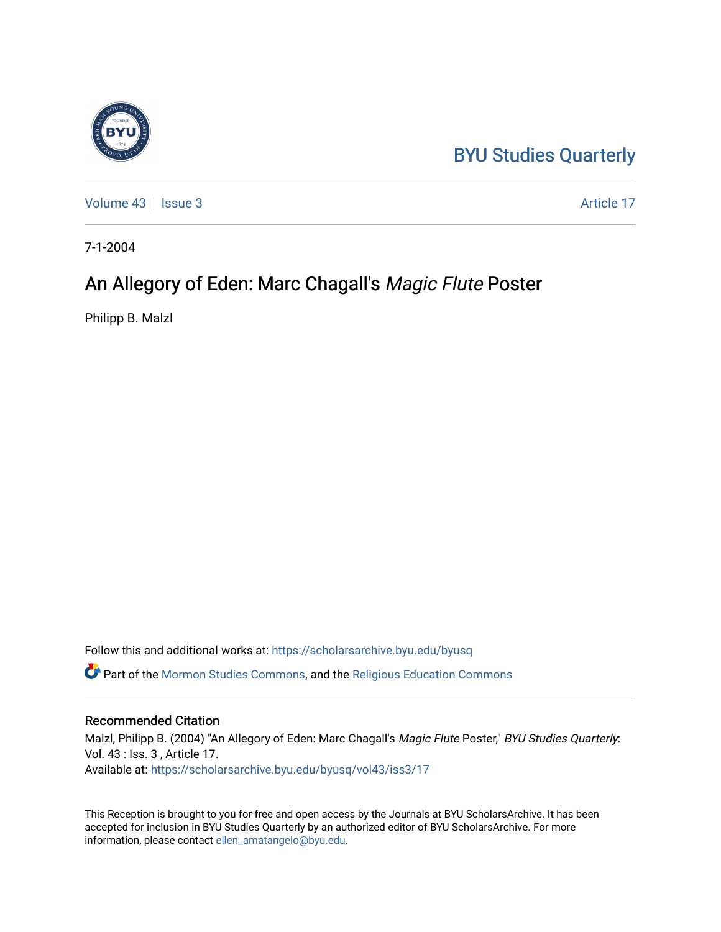# [BYU Studies Quarterly](https://scholarsarchive.byu.edu/byusq)

[Volume 43](https://scholarsarchive.byu.edu/byusq/vol43) | [Issue 3](https://scholarsarchive.byu.edu/byusq/vol43/iss3) Article 17

7-1-2004

# An Allegory of Eden: Marc Chagall's Magic Flute Poster

Philipp B. Malzl

Follow this and additional works at: [https://scholarsarchive.byu.edu/byusq](https://scholarsarchive.byu.edu/byusq?utm_source=scholarsarchive.byu.edu%2Fbyusq%2Fvol43%2Fiss3%2F17&utm_medium=PDF&utm_campaign=PDFCoverPages) 

Part of the [Mormon Studies Commons](http://network.bepress.com/hgg/discipline/1360?utm_source=scholarsarchive.byu.edu%2Fbyusq%2Fvol43%2Fiss3%2F17&utm_medium=PDF&utm_campaign=PDFCoverPages), and the [Religious Education Commons](http://network.bepress.com/hgg/discipline/1414?utm_source=scholarsarchive.byu.edu%2Fbyusq%2Fvol43%2Fiss3%2F17&utm_medium=PDF&utm_campaign=PDFCoverPages) 

## Recommended Citation

Malzl, Philipp B. (2004) "An Allegory of Eden: Marc Chagall's Magic Flute Poster," BYU Studies Quarterly: Vol. 43 : Iss. 3 , Article 17. Available at: [https://scholarsarchive.byu.edu/byusq/vol43/iss3/17](https://scholarsarchive.byu.edu/byusq/vol43/iss3/17?utm_source=scholarsarchive.byu.edu%2Fbyusq%2Fvol43%2Fiss3%2F17&utm_medium=PDF&utm_campaign=PDFCoverPages) 

This Reception is brought to you for free and open access by the Journals at BYU ScholarsArchive. It has been accepted for inclusion in BYU Studies Quarterly by an authorized editor of BYU ScholarsArchive. For more information, please contact [ellen\\_amatangelo@byu.edu.](mailto:ellen_amatangelo@byu.edu)

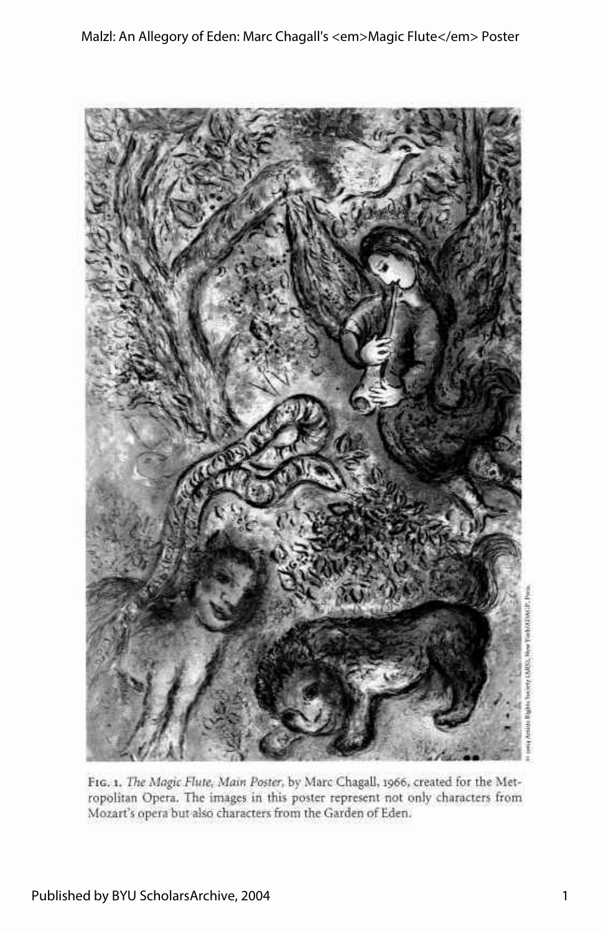

FIG. I. *The Magic Flute, Main Poster,* by Marc Chagall, 1966, created for the Metropolitan Opera. The images in this poster represent not only characters from Mozart's opera but also characters from the Garden of Eden.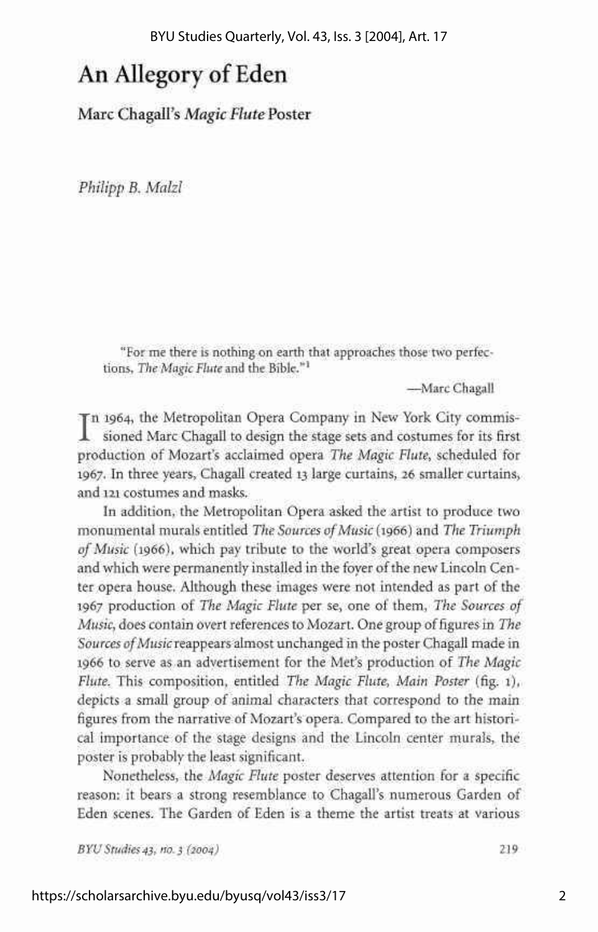# An Allegory of Eden

Marc Chagall's *Magic Flute* Poster

*Philipp B. Malzl* 

"For me there is nothing on earth that approaches those two perfections, *The Magic Flute* and the Bible."<sup>1</sup>

—Marc Chagall

In 1964, the Metropolitan Opera Company in New York City commissioned Marc Chagall to design the stage sets and costumes for its first n 1964, the Metropolitan Opera Company in New York City commisproduction of Mozart's acclaimed opera *The Magic Flute,* scheduled for 1967. In three years, Chagall created 13 large curtains, 26 smaller curtains, and 121 costumes and masks.

In addition, the Metropolitan Opera asked the artist to produce two monumental murals entitled *The Sources of Music* (1966) and *The Triumph of Music* (1966), which pay tribute to the world's great opera composers and which were permanently installed in the foyer of the new Lincoln Center opera house. Although these images were not intended as part of the 1967 production of *The Magic Flute* per se, one of them, *The Sources of Music,* does contain overt references to Mozart. One group of figures in *The Sources of Music* reappears almost unchanged in the poster Chagall made in 1966 to serve as an advertisement for the Met's production of *The Magic Flute.* This composition, entitled *The Magic Flute, Main Poster* (fig. 1), depicts a small group of animal characters that correspond to the main figures from the narrative of Mozart's opera. Compared to the art historical importance of the stage designs and the Lincoln center murals, the poster is probably the least significant.

Nonetheless, the *Magic Flute* poster deserves attention for a specific reason: it bears a strong resemblance to Chagall's numerous Garden of Eden scenes. The Garden of Eden is a theme the artist treats at various

*BYU Studies 43, no. 3 (2004)* 219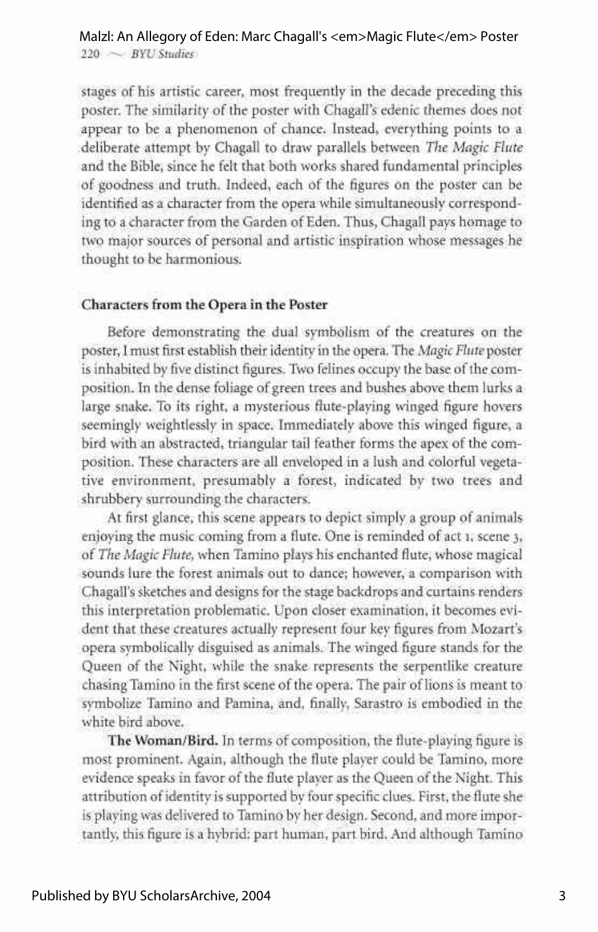#### $220 \sim$  *BYU Studies* Malzl: An Allegory of Eden: Marc Chagall's <em>Magic Flute</em> Poster

stages of his artistic career, most frequently in the decade preceding this poster. The similarity of the poster with Chagall's edenic themes does not appear to be a phenomenon of chance. Instead, everything points to a deliberate attempt by Chagall to draw parallels between *The Magic Flute*  and the Bible, since he felt that both works shared fundamental principles of goodness and truth. Indeed, each of the figures on the poster can be identified as a character from the opera while simultaneously corresponding to a character from the Garden of Eden. Thus, Chagall pays homage to two major sources of personal and artistic inspiration whose messages he thought to be harmonious.

### **Characters from the Opera in the Poster**

Before demonstrating the dual symbolism of the creatures on the poster, I must first establish their identity in the opera. The *Magic Flute* poster is inhabited by five distinct figures. Two felines occupy the base of the composition. In the dense foliage of green trees and bushes above them lurks a large snake. To its right, a mysterious flute-playing winged figure hovers seemingly weightlessly in space. Immediately above this winged figure, a bird with an abstracted, triangular tail feather forms the apex of the composition. These characters are all enveloped in a lush and colorful vegetative environment, presumably a forest, indicated by two trees and shrubbery surrounding the characters.

At first glance, this scene appears to depict simply a group of animals enjoying the music coming from a flute. One is reminded of act 1, scene 3, of *The Magic Flute,* when Tamino plays his enchanted flute, whose magical sounds lure the forest animals out to dance; however, a comparison with Chagall's sketches and designs for the stage backdrops and curtains renders this interpretation problematic. Upon closer examination, it becomes evident that these creatures actually represent four key figures from Mozart's opera symbolically disguised as animals. The winged figure stands for the Queen of the Night, while the snake represents the serpentlike creature chasing Tamino in the first scene of the opera. The pair of lions is meant to symbolize Tamino and Pamina, and, finally, Sarastro is embodied in the white bird above.

**The Woman/Bird.** In terms of composition, the flute-playing figure is most prominent. Again, although the flute player could be Tamino, more evidence speaks in favor of the flute player as the Queen of the Night. This attribution of identity is supported by four specific clues. First, the flute she is playing was delivered to Tamino by her design. Second, and more importantly, this figure is a hybrid: part human, part bird. And although Tamino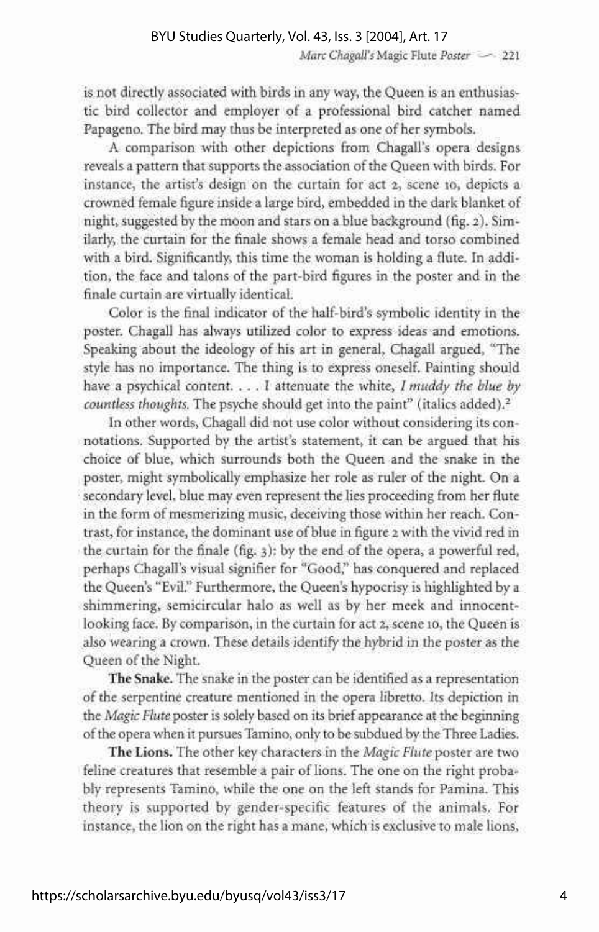### *Marc Chagall's* Magic Flute Poster - 221

is not directly associated with birds in any way, the Queen is an enthusiastic bird collector and employer of a professional bird catcher named Papageno. The bird may thus be interpreted as one of her symbols.

A comparison with other depictions from Chagall's opera designs reveals a pattern that supports the association of the Queen with birds. For instance, the artist's design on the curtain for act 2, scene 10, depicts a crowned female figure inside a large bird, embedded in the dark blanket of night, suggested by the moon and stars on a blue background (fig. 2). Similarly, the curtain for the finale shows a female head and torso combined with a bird. Significantly, this time the woman is holding a flute. In addition, the face and talons of the part-bird figures in the poster and in the finale curtain are virtually identical.

Color is the final indicator of the half-bird's symbolic identity in the poster. Chagall has always utilized color to express ideas and emotions. Speaking about the ideology of his art in general, Chagall argued, "The style has no importance. The thing is to express oneself. Painting should have a psychical content. .. . I attenuate the white, I *muddy the blue by countless thoughts.* The psyche should get into the paint" (italics added).<sup>2</sup>

In other words, Chagall did not use color without considering its connotations. Supported by the artist's statement, it can be argued that his choice of blue, which surrounds both the Queen and the snake in the poster, might symbolically emphasize her role as ruler of the night. On a secondary level, blue may even represent the lies proceeding from her flute in the form of mesmerizing music, deceiving those within her reach. Contrast, for instance, the dominant use of blue in figure 2 with the vivid red in the curtain for the finale (fig. 3): by the end of the opera, a powerful red, perhaps Chagall's visual signifier for "Good," has conquered and replaced the Queen's "Evil." Furthermore, the Queen's hypocrisy is highlighted by a shimmering, semicircular halo as well as by her meek and innocentlooking face. By comparison, in the curtain for act 2, scene 10, the Queen is also wearing a crown. These details identify the hybrid in the poster as the Queen of the Night.

**The Snake.** The snake in the poster can be identified as a representation of the serpentine creature mentioned in the opera libretto. Its depiction in the *Magic Flute* poster is solely based on its brief appearance at the beginning of the opera when it pursues Tamino, only to be subdued by the Three Ladies.

**The Lions.** The other key characters in the *Magic Flute* poster are two feline creatures that resemble a pair of lions. The one on the right probably represents Tamino, while the one on the left stands for Pamina. This theory is supported by gender-specific features of the animals. For instance, the lion on the right has a mane, which is exclusive to male lions,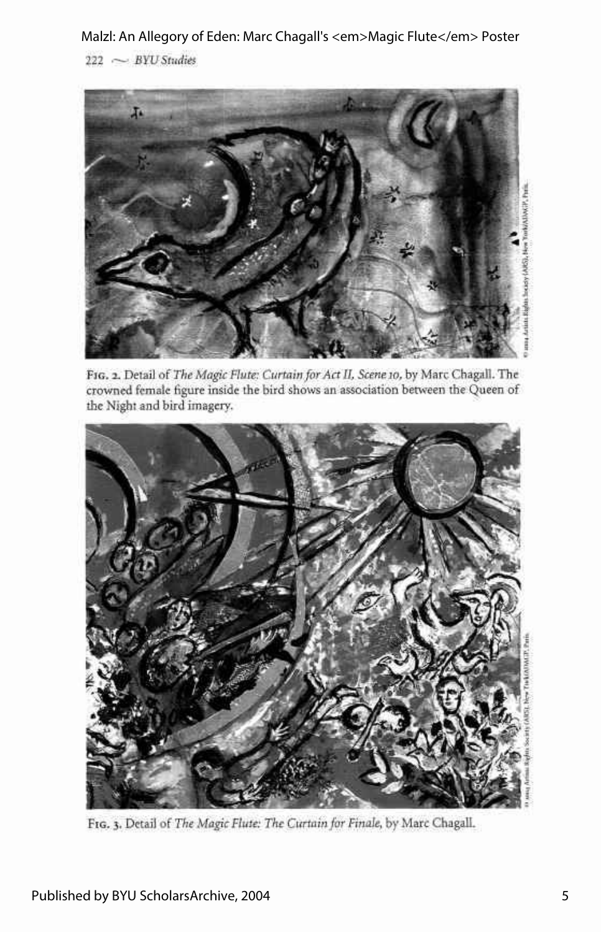Malzl: An Allegory of Eden: Marc Chagall's <em>Magic Flute</em> Poster

222 .---• *BYU Studies* 



FIG. 2. Detail of *The Magic Flute: Curtain for Act II, Scene 10,* by Marc Chagall. The crowned female figure inside the bird shows an association between the Queen of the Night and bird imagery.



FIG. 3. Detail of *The Magic Flute: The Curtain for Finale,* by Marc Chagall.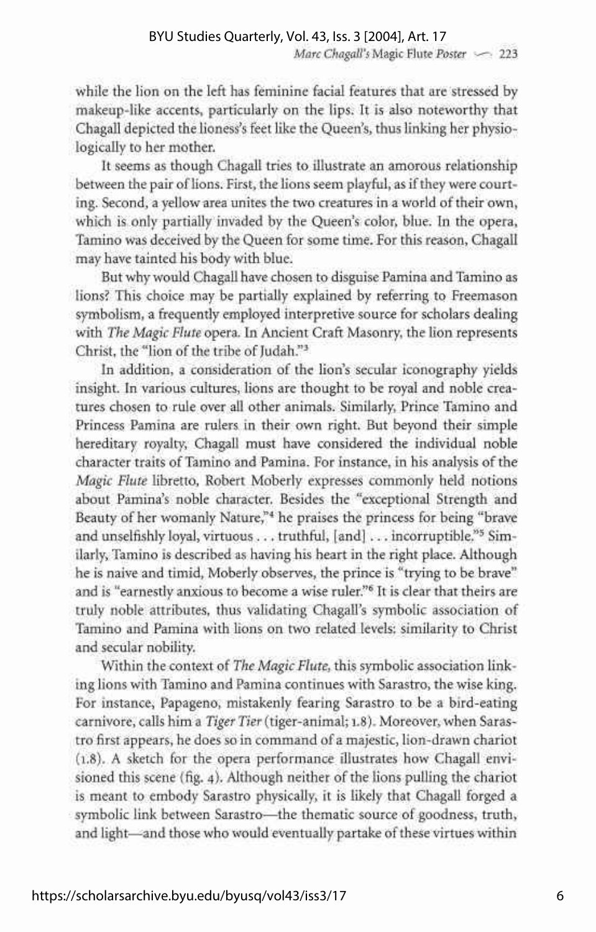while the lion on the left has feminine facial features that are stressed by makeup-like accents, particularly on the lips. It is also noteworthy that Chagall depicted the lioness's feet like the Queen's, thus linking her physiologically to her mother.

It seems as though Chagall tries to illustrate an amorous relationship between the pair of lions. First, the lions seem playful, as if they were courting. Second, a yellow area unites the two creatures in a world of their own, which is only partially invaded by the Queen's color, blue. In the opera, Tamino was deceived by the Queen for some time. For this reason, Chagall may have tainted his body with blue.

But why would Chagall have chosen to disguise Pamina and Tamino as lions? This choice may be partially explained by referring to Freemason symbolism, a frequently employed interpretive source for scholars dealing with *The Magic Flute* opera. In Ancient Craft Masonry, the lion represents Christ, the "lion of the tribe of Judah."<sup>3</sup>

In addition, a consideration of the lion's secular iconography yields insight. In various cultures, lions are thought to be royal and noble creatures chosen to rule over all other animals. Similarly, Prince Tamino and Princess Pamina are rulers in their own right. But beyond their simple hereditary royalty, Chagall must have considered the individual noble character traits of Tamino and Pamina. For instance, in his analysis of the *Magic Flute* libretto, Robert Moberly expresses commonly held notions about Pamina's noble character. Besides the "exceptional Strength and Beauty of her womanly Nature,"<sup>4</sup> he praises the princess for being "brave and unselfishly loyal, virtuous . . . truthful, [and] . . . incorruptible.<sup>95</sup> Similarly, Tamino is described as having his heart in the right place. Although he is naive and timid, Moberly observes, the prince is "trying to be brave" and is "earnestly anxious to become a wise ruler."<sup>6</sup> It is clear that theirs are truly noble attributes, thus validating Chagall's symbolic association of Tamino and Pamina with lions on two related levels: similarity to Christ and secular nobility.

Within the context of *The Magic Flute,* this symbolic association linking lions with Tamino and Pamina continues with Sarastro, the wise king. For instance, Papageno, mistakenly fearing Sarastro to be a bird-eating carnivore, calls him a *Tiger Tier* (tiger-animal; 1.8). Moreover, when Sarastro first appears, he does so in command of a majestic, lion-drawn chariot (1.8). A sketch for the opera performance illustrates how Chagall envisioned this scene (fig. 4). Although neither of the lions pulling the chariot is meant to embody Sarastro physically, it is likely that Chagall forged a symbolic link between Sarastro—the thematic source of goodness, truth, and light—and those who would eventually partake of these virtues within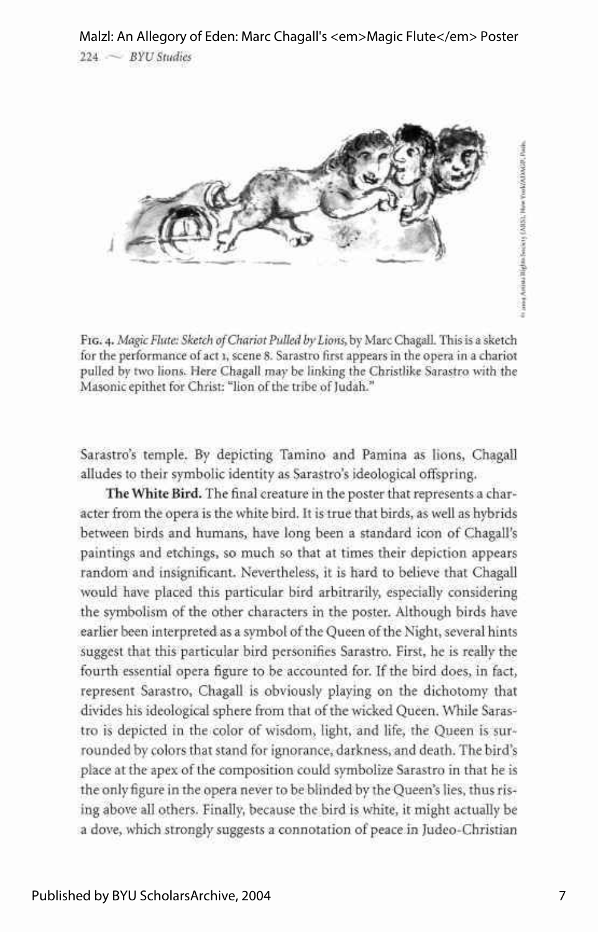

FIG. 4. *Magic Flute: Sketch of Chariot Pulled by Lions,* by Marc Chagall. This is a sketch for the performance of act 1, scene 8. Sarastro first appears in the opera in a chariot pulled by two lions. Here Chagall may be linking the Christlike Sarastro with the Masonic epithet for Christ: "lion of the tribe of Judah."

Sarastro's temple. By depicting Tamino and Pamina as lions, Chagall alludes to their symbolic identity as Sarastro's ideological offspring.

**The White Bird.** The final creature in the poster that represents a character from the opera is the white bird. It is true that birds, as well as hybrids between birds and humans, have long been a standard icon of Chagall's paintings and etchings, so much so that at times their depiction appears random and insignificant. Nevertheless, it is hard to believe that Chagall would have placed this particular bird arbitrarily, especially considering the symbolism of the other characters in the poster. Although birds have earlier been interpreted as a symbol of the Queen of the Night, several hints suggest that this particular bird personifies Sarastro. First, he is really the fourth essential opera figure to be accounted for. If the bird does, in fact, represent Sarastro, Chagall is obviously playing on the dichotomy that divides his ideological sphere from that of the wicked Queen. While Sarastro is depicted in the color of wisdom, light, and life, the Queen is surrounded by colors that stand for ignorance, darkness, and death. The bird's place at the apex of the composition could symbolize Sarastro in that he is the only figure in the opera never to be blinded by the Queen's lies, thus rising above all others. Finally, because the bird is white, it might actually be a dove, which strongly suggests a connotation of peace in Judeo-Christian

In annual Australia (Man-Service 15 (AMS), Howe You MATAROUS Points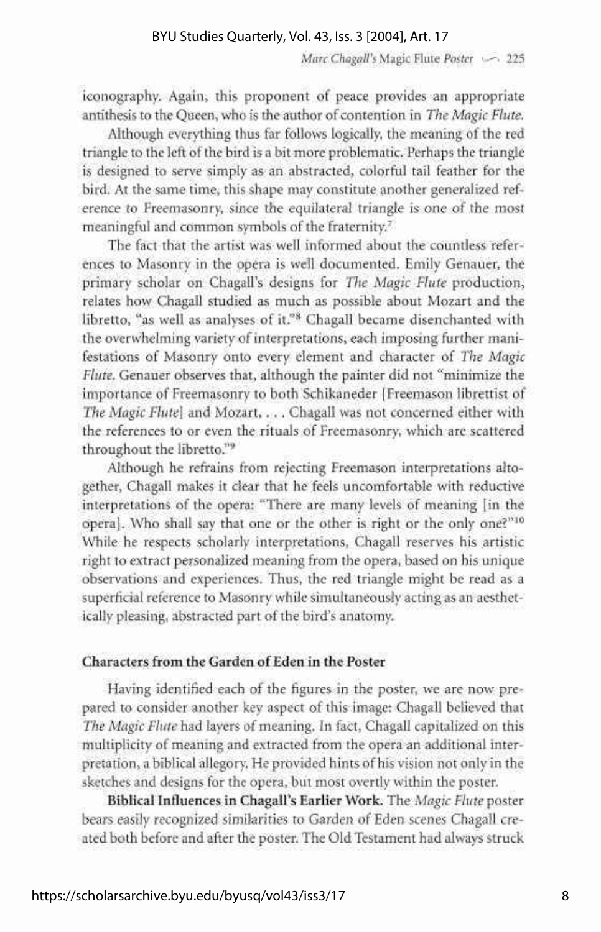*Marc Chagall's* Magic Flute *Poster* •-— • 225

iconography. Again, this proponent of peace provides an appropriate antithesis to the Queen, who is the author of contention in *The Magic Flute.* 

Although everything thus far follows logically, the meaning of the red triangle to the left of the bird is a bit more problematic. Perhaps the triangle is designed to serve simply as an abstracted, colorful tail feather for the bird. At the same time, this shape may constitute another generalized reference to Freemasonry, since the equilateral triangle is one of the most meaningful and common symbols of the fraternity.<sup>7</sup>

The fact that the artist was well informed about the countless references to Masonry in the opera is well documented. Emily Genauer, the primary scholar on Chagall's designs for *The Magic Flute* production, relates how Chagall studied as much as possible about Mozart and the libretto, "as well as analyses of it."<sup>8</sup> Chagall became disenchanted with the overwhelming variety of interpretations, each imposing further manifestations of Masonry onto every element and character of *The Magic Flute.* Genauer observes that, although the painter did not "minimize the importance of Freemasonry to both Schikaneder [Freemason librettist of *The Magic Flute]* and Mozart, . . . Chagall was not concerned either with the references to or even the rituals of Freemasonry, which are scattered throughout the libretto."<sup>9</sup>

Although he refrains from rejecting Freemason interpretations altogether, Chagall makes it clear that he feels uncomfortable with reductive interpretations of the opera: "There are many levels of meaning [in the opera]. Who shall say that one or the other is right or the only one?"<sup>10</sup> While he respects scholarly interpretations, Chagall reserves his artistic right to extract personalized meaning from the opera, based on his unique observations and experiences. Thus, the red triangle might be read as a superficial reference to Masonry while simultaneously acting as an aesthetically pleasing, abstracted part of the bird's anatomy.

## **Characters from the Garden of Eden in the Poster**

Having identified each of the figures in the poster, we are now prepared to consider another key aspect of this image: Chagall believed that *The Magic Flute* had layers of meaning. In fact, Chagall capitalized on this multiplicity of meaning and extracted from the opera an additional interpretation, a biblical allegory. He provided hints of his vision not only in the sketches and designs for the opera, but most overtly within the poster.

**Biblical Influences in Chagall's Earlier Work.** The *Magic Flute* poster bears easily recognized similarities to Garden of Eden scenes Chagall created both before and after the poster. The Old Testament had always struck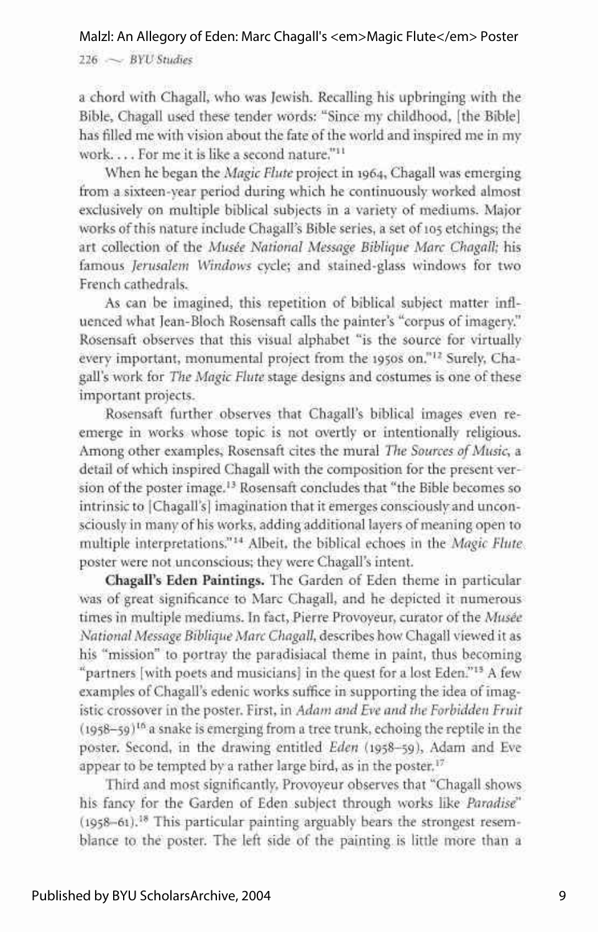### Malzl: An Allegory of Eden: Marc Chagall's <em>Magic Flute</em> Poster

 $226 \sim$  *BYU Studies* 

a chord with Chagall, who was Jewish. Recalling his upbringing with the Bible, Chagall used these tender words: "Since my childhood, [the Bible] has filled me with vision about the fate of the world and inspired me in my work. .. . For me it is like a second nature."<sup>11</sup>

When he began the *Magic Flute* project in 1964, Chagall was emerging from a sixteen-year period during which he continuously worked almost exclusively on multiple biblical subjects in a variety of mediums. Major works of this nature include Chagall's Bible series, a set of 105 etchings; the art collection of the *Musee National Message Biblique Marc Chagall;* his famous *Jerusalem Windows* cycle; and stained-glass windows for two French cathedrals.

As can be imagined, this repetition of biblical subject matter influenced what Jean-Bloch Rosensaft calls the painter's "corpus of imagery." Rosensaft observes that this visual alphabet "is the source for virtually every important, monumental project from the 1950s on."<sup>12</sup> Surely, Chagall's work for *The Magic Flute* stage designs and costumes is one of these important projects.

Rosensaft further observes that Chagall's biblical images even reemerge in works whose topic is not overtly or intentionally religious. Among other examples, Rosensaft cites the mural *The Sources of Music,* a detail of which inspired Chagall with the composition for the present version of the poster image.<sup>13</sup> Rosensaft concludes that "the Bible becomes so intrinsic to [Chagall's] imagination that it emerges consciously and unconsciously in many of his works, adding additional layers of meaning open to multiple interpretations."<sup>14</sup> Albeit, the biblical echoes in the *Magic Flute*  poster were not unconscious; they were Chagall's intent.

**Chagall's Eden Paintings.** The Garden of Eden theme in particular was of great significance to Marc Chagall, and he depicted it numerous times in multiple mediums. In fact, Pierre Provoyeur, curator of the *Musee National Message Biblique Marc Chagall,* describes how Chagall viewed it as his "mission" to portray the paradisiacal theme in paint, thus becoming "partners [with poets and musicians] in the quest for a lost Eden."<sup>13</sup> A few examples of Chagall's edenic works suffice in supporting the idea of imagistic crossover in the poster. First, in *Adam and Eve and the Forbidden Fruit*  (1958-59)<sup>16</sup> a snake is emerging from a tree trunk, echoing the reptile in the poster. Second, in the drawing entitled *Eden* (1958-59), Adam and Eve appear to be tempted by a rather large bird, as in the poster.<sup>17</sup>

Third and most significantly, Provoyeur observes that "Chagall shows his fancy for the Garden of Eden subject through works like *Paradise'*  (1958-61).<sup>18</sup> This particular painting arguably bears the strongest resemblance to the poster. The left side of the painting is little more than a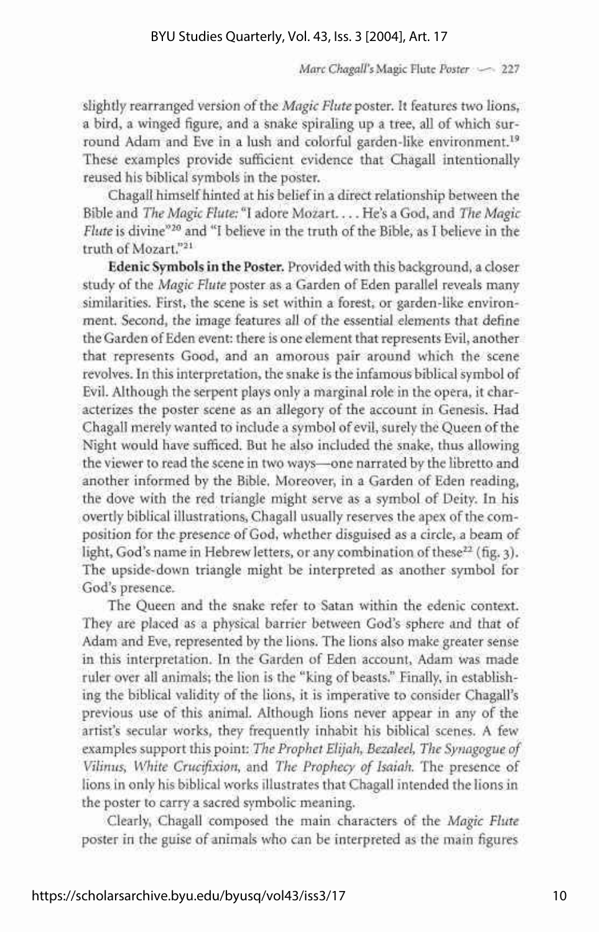*Marc Chagall's* Magic Flute Poster <= 227

slightly rearranged version of the *Magic Flute* poster. It features two lions, a bird, a winged figure, and a snake spiraling up a tree, all of which surround Adam and Eve in a lush and colorful garden-like environment.<sup>19</sup> These examples provide sufficient evidence that Chagall intentionally reused his biblical symbols in the poster.

Chagall himself hinted at his belief in a direct relationship between the Bible and *The Magic Flute:* "I adore Mozart.... He's a God, and *The Magic*  Flute is divine<sup>"20</sup> and "I believe in the truth of the Bible, as I believe in the truth of Mozart."<sup>21</sup>

**Edenic Symbols** in **the Poster.** Provided with this background, a closer study of the *Magic Flute* poster as a Garden of Eden parallel reveals many similarities. First, the scene is set within a forest, or garden-like environment. Second, the image features all of the essential elements that define the Garden of Eden event: there is one element that represents Evil, another that represents Good, and an amorous pair around which the scene revolves. In this interpretation, the snake is the infamous biblical symbol of Evil. Although the serpent plays only a marginal role in the opera, it characterizes the poster scene as an allegory of the account in Genesis. Had Chagall merely wanted to include a symbol of evil, surely the Queen of the Night would have sufficed. But he also included the snake, thus allowing the viewer to read the scene in two ways—one narrated by the libretto and another informed by the Bible. Moreover, in a Garden of Eden reading, the dove with the red triangle might serve as a symbol of Deity. In his overtly biblical illustrations, Chagall usually reserves the apex of the composition for the presence of God, whether disguised as a circle, a beam of light, God's name in Hebrew letters, or any combination of these<sup>22</sup> (fig. 3). The upside-down triangle might be interpreted as another symbol for God's presence.

The Queen and the snake refer to Satan within the edenic context. They are placed as a physical barrier between God's sphere and that of Adam and Eve, represented by the lions. The lions also make greater sense in this interpretation. In the Garden of Eden account, Adam was made ruler over all animals; the lion is the "king of beasts." Finally, in establishing the biblical validity of the lions, it is imperative to consider Chagall's previous use of this animal. Although lions never appear in any of the artist's secular works, they frequently inhabit his biblical scenes. A few examples support this point: *The Prophet Elijah, Bezaleel, The Synagogue of Vilinus, White Crucifixion,* and *The Prophecy of Isaiah.* The presence of lions in only his biblical works illustrates that Chagall intended the lions in the poster to carry a sacred symbolic meaning.

Clearly, Chagall composed the main characters of the *Magic Flute*  poster in the guise of animals who can be interpreted as the main figures